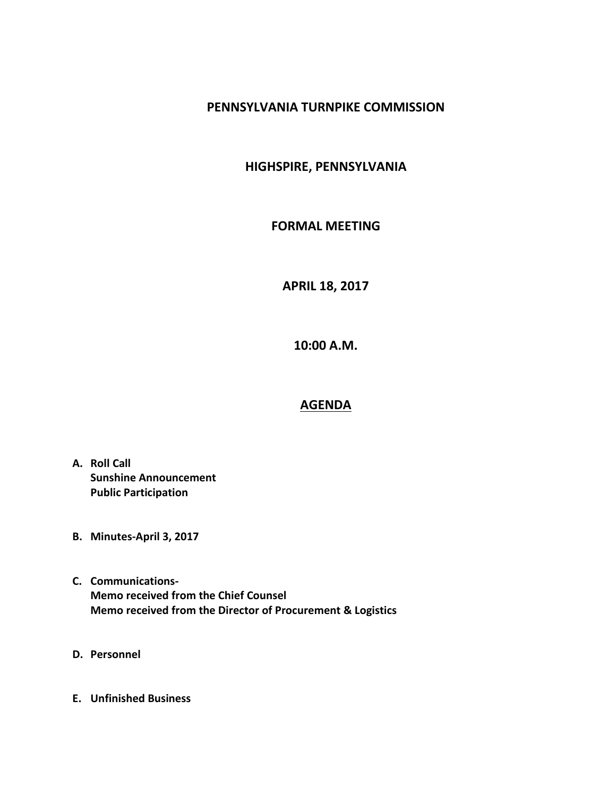## **PENNSYLVANIA TURNPIKE COMMISSION**

## **HIGHSPIRE, PENNSYLVANIA**

#### **FORMAL MEETING**

## **APRIL 18, 2017**

**10:00 A.M.**

# **AGENDA**

- **A. Roll Call Sunshine Announcement Public Participation**
- **B. Minutes-April 3, 2017**
- **C. Communications-Memo received from the Chief Counsel Memo received from the Director of Procurement & Logistics**
- **D. Personnel**
- **E. Unfinished Business**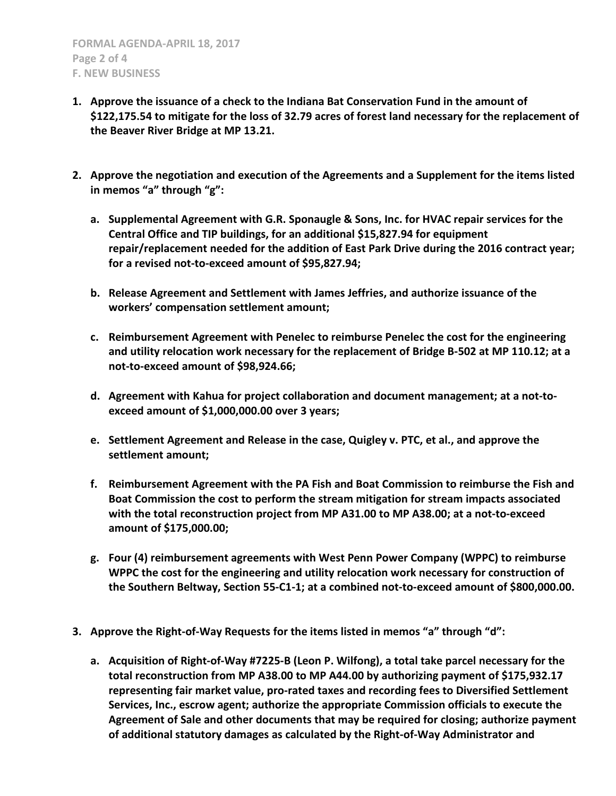- **1. Approve the issuance of a check to the Indiana Bat Conservation Fund in the amount of \$122,175.54 to mitigate for the loss of 32.79 acres of forest land necessary for the replacement of the Beaver River Bridge at MP 13.21.**
- **2. Approve the negotiation and execution of the Agreements and a Supplement for the items listed in memos "a" through "g":**
	- **a. Supplemental Agreement with G.R. Sponaugle & Sons, Inc. for HVAC repair services for the Central Office and TIP buildings, for an additional \$15,827.94 for equipment repair/replacement needed for the addition of East Park Drive during the 2016 contract year; for a revised not-to-exceed amount of \$95,827.94;**
	- **b. Release Agreement and Settlement with James Jeffries, and authorize issuance of the workers' compensation settlement amount;**
	- **c. Reimbursement Agreement with Penelec to reimburse Penelec the cost for the engineering and utility relocation work necessary for the replacement of Bridge B-502 at MP 110.12; at a not-to-exceed amount of \$98,924.66;**
	- **d. Agreement with Kahua for project collaboration and document management; at a not-toexceed amount of \$1,000,000.00 over 3 years;**
	- **e. Settlement Agreement and Release in the case, Quigley v. PTC, et al., and approve the settlement amount;**
	- **f. Reimbursement Agreement with the PA Fish and Boat Commission to reimburse the Fish and Boat Commission the cost to perform the stream mitigation for stream impacts associated with the total reconstruction project from MP A31.00 to MP A38.00; at a not-to-exceed amount of \$175,000.00;**
	- **g. Four (4) reimbursement agreements with West Penn Power Company (WPPC) to reimburse WPPC the cost for the engineering and utility relocation work necessary for construction of the Southern Beltway, Section 55-C1-1; at a combined not-to-exceed amount of \$800,000.00.**
- **3. Approve the Right-of-Way Requests for the items listed in memos "a" through "d":**
	- **a. Acquisition of Right-of-Way #7225-B (Leon P. Wilfong), a total take parcel necessary for the total reconstruction from MP A38.00 to MP A44.00 by authorizing payment of \$175,932.17 representing fair market value, pro-rated taxes and recording fees to Diversified Settlement Services, Inc., escrow agent; authorize the appropriate Commission officials to execute the Agreement of Sale and other documents that may be required for closing; authorize payment of additional statutory damages as calculated by the Right-of-Way Administrator and**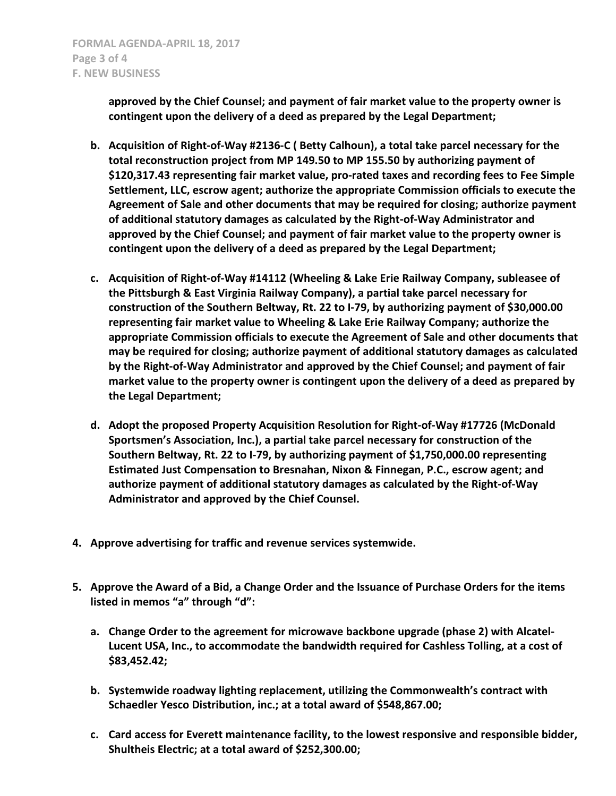**approved by the Chief Counsel; and payment of fair market value to the property owner is contingent upon the delivery of a deed as prepared by the Legal Department;**

- **b. Acquisition of Right-of-Way #2136-C ( Betty Calhoun), a total take parcel necessary for the total reconstruction project from MP 149.50 to MP 155.50 by authorizing payment of \$120,317.43 representing fair market value, pro-rated taxes and recording fees to Fee Simple Settlement, LLC, escrow agent; authorize the appropriate Commission officials to execute the Agreement of Sale and other documents that may be required for closing; authorize payment of additional statutory damages as calculated by the Right-of-Way Administrator and approved by the Chief Counsel; and payment of fair market value to the property owner is contingent upon the delivery of a deed as prepared by the Legal Department;**
- **c. Acquisition of Right-of-Way #14112 (Wheeling & Lake Erie Railway Company, subleasee of the Pittsburgh & East Virginia Railway Company), a partial take parcel necessary for construction of the Southern Beltway, Rt. 22 to I-79, by authorizing payment of \$30,000.00 representing fair market value to Wheeling & Lake Erie Railway Company; authorize the appropriate Commission officials to execute the Agreement of Sale and other documents that may be required for closing; authorize payment of additional statutory damages as calculated by the Right-of-Way Administrator and approved by the Chief Counsel; and payment of fair market value to the property owner is contingent upon the delivery of a deed as prepared by the Legal Department;**
- **d. Adopt the proposed Property Acquisition Resolution for Right-of-Way #17726 (McDonald Sportsmen's Association, Inc.), a partial take parcel necessary for construction of the Southern Beltway, Rt. 22 to I-79, by authorizing payment of \$1,750,000.00 representing Estimated Just Compensation to Bresnahan, Nixon & Finnegan, P.C., escrow agent; and authorize payment of additional statutory damages as calculated by the Right-of-Way Administrator and approved by the Chief Counsel.**
- **4. Approve advertising for traffic and revenue services systemwide.**
- **5. Approve the Award of a Bid, a Change Order and the Issuance of Purchase Orders for the items listed in memos "a" through "d":**
	- **a. Change Order to the agreement for microwave backbone upgrade (phase 2) with Alcatel-Lucent USA, Inc., to accommodate the bandwidth required for Cashless Tolling, at a cost of \$83,452.42;**
	- **b. Systemwide roadway lighting replacement, utilizing the Commonwealth's contract with Schaedler Yesco Distribution, inc.; at a total award of \$548,867.00;**
	- **c. Card access for Everett maintenance facility, to the lowest responsive and responsible bidder, Shultheis Electric; at a total award of \$252,300.00;**